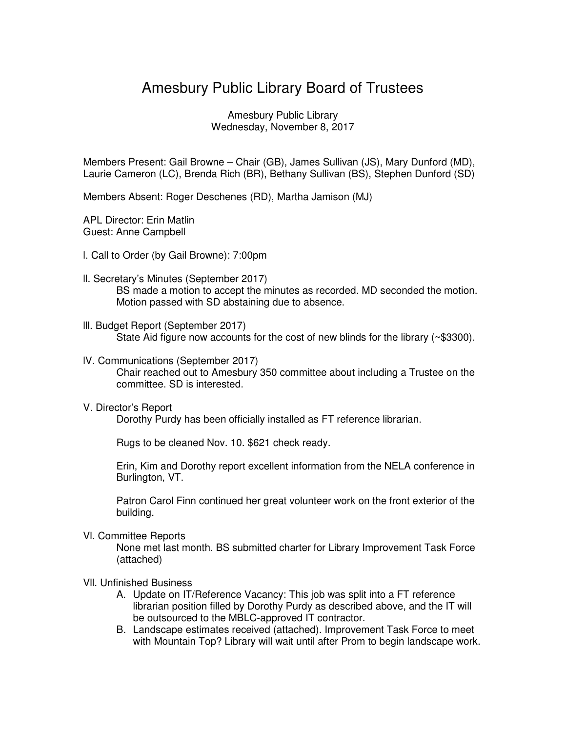## Amesbury Public Library Board of Trustees

Amesbury Public Library Wednesday, November 8, 2017

Members Present: Gail Browne – Chair (GB), James Sullivan (JS), Mary Dunford (MD), Laurie Cameron (LC), Brenda Rich (BR), Bethany Sullivan (BS), Stephen Dunford (SD)

Members Absent: Roger Deschenes (RD), Martha Jamison (MJ)

APL Director: Erin Matlin Guest: Anne Campbell

- l. Call to Order (by Gail Browne): 7:00pm
- ll. Secretary's Minutes (September 2017) BS made a motion to accept the minutes as recorded. MD seconded the motion. Motion passed with SD abstaining due to absence.
- lll. Budget Report (September 2017) State Aid figure now accounts for the cost of new blinds for the library (~\$3300).
- lV. Communications (September 2017) Chair reached out to Amesbury 350 committee about including a Trustee on the committee. SD is interested.
- V. Director's Report

Dorothy Purdy has been officially installed as FT reference librarian.

Rugs to be cleaned Nov. 10. \$621 check ready.

Erin, Kim and Dorothy report excellent information from the NELA conference in Burlington, VT.

Patron Carol Finn continued her great volunteer work on the front exterior of the building.

Vl. Committee Reports

None met last month. BS submitted charter for Library Improvement Task Force (attached)

- Vll. Unfinished Business
	- A. Update on IT/Reference Vacancy: This job was split into a FT reference librarian position filled by Dorothy Purdy as described above, and the IT will be outsourced to the MBLC-approved IT contractor.
	- B. Landscape estimates received (attached). Improvement Task Force to meet with Mountain Top? Library will wait until after Prom to begin landscape work.